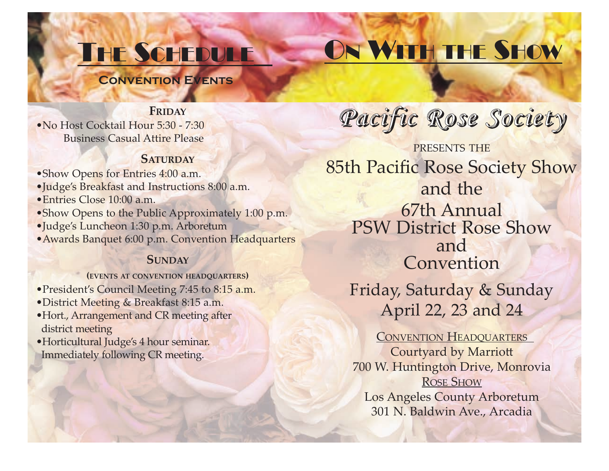# THE SCHEDULE

# ON WITH THE SHOW

**Convention Events**

# **FRIDAY**

•No Host Cocktail Hour 5:30 - 7:30 Business Casual Attire Please

# **SATURDAY**

• Show Opens for Entries 4:00 a.m.

- •Judge's Breakfast and Instructions 8:00 a.m.
- •Entries Close 10:00 a.m.
- •Show Opens to the Public Approximately 1:00 p.m.
- •Judge's Luncheon 1:30 p.m. Arboretum
- •Awards Banquet 6:00 p.m. Convention Headquarters

# **SUNDAY**

# **(EVENTS AT CONVENTION HEADQUARTERS)**

- •President's Council Meeting 7:45 to 8:15 a.m.
- •District Meeting & Breakfast 8:15 a.m.
- •Hort., Arrangement and CR meeting after district meeting
- •Horticultural Judge's 4 hour seminar. Immediately following CR meeting.

*Pacific Rose Society*

PRESENTS THE 85th Pacific Rose Society Show and the 67th Annual PSW District Rose Show and Convention

Friday, Saturday & Sunday April 22, 23 and 24

CONVENTION HEADQUARTERS Courtyard by Marriott 700 W. Huntington Drive, Monrovia ROSE SHOW Los Angeles County Arboretum 301 N. Baldwin Ave., Arcadia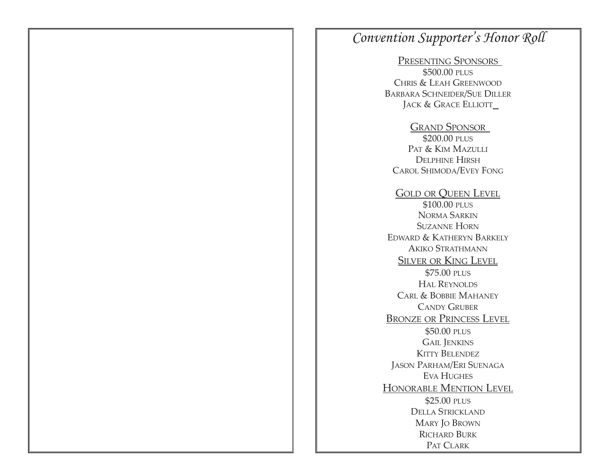# *Convention Supporter's Honor Roll*

PRESENTING SPONSORS \$500.00 PLUS CHRIS & LEAH GREENWOOD BARBARA SCHNEIDER/SUE DILLER JACK & GRACE ELLIOTT\_

GRAND SPONSOR \$200.00 PLUS PAT & KIM MAZULLI DELPHINE HIRSH CAROL SHIMODA/EVEY FONG

GOLD OR QUEEN LEVEL \$100.00 PLUS NORMA SARKIN SUZANNE HORN EDWARD & KATHERYN BARKELY AKIKO STRATHMANN SILVER OR KING LEVEL \$75.00 PLUS HAL REYNOLDS CARL & BOBBIE MAHANEY CANDY GRUBER BRONZE OR PRINCESS LEVEL \$50.00 PLUS GAIL JENKINS KITTY BELENDEZ JASON PARHAM/ERI SUENAGA EVA HUGHES HONORABLE MENTION LEVEL \$25.00 PLUS DELLA STRICKLAND MARY JO BROWN RICHARD BURK PAT CLARK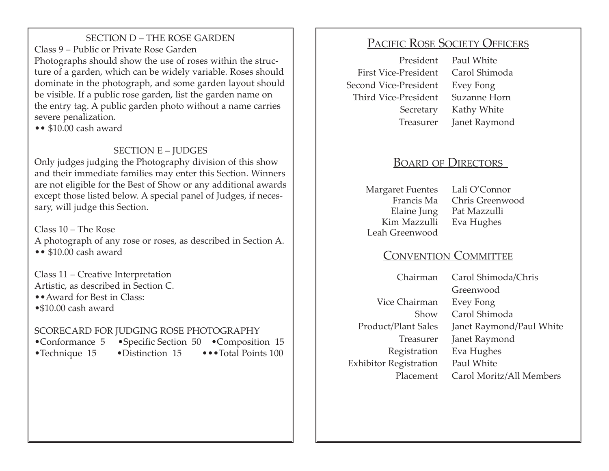SECTION D – THE ROSE GARDEN Class 9 – Public or Private Rose Garden Photographs should show the use of roses within the structure of a garden, which can be widely variable. Roses should dominate in the photograph, and some garden layout should be visible. If a public rose garden, list the garden name on the entry tag. A public garden photo without a name carries severe penalization.

•• \$10.00 cash award

# SECTION E – **JUDGES**

Only judges judging the Photography division of this show and their immediate families may enter this Section. Winners are not eligible for the Best of Show or any additional awards except those listed below. A special panel of Judges, if necessary, will judge this Section.

Class 10 – The Rose A photograph of any rose or roses, as described in Section A. •• \$10.00 cash award

Class 11 – Creative Interpretation Artistic, as described in Section C.

••Award for Best in Class:

•\$10.00 cash award

# SCORECARD FOR JUDGING ROSE PHOTOGRAPHY

- •Conformance 5 •Specific Section 50 •Composition 15
	-

•Technique 15 •Distinction 15 •••Total Points 100

# PACIFIC ROSE SOCIETY OFFICERS

 First Vice-President Carol Shimoda Second Vice-President Evey Fong Third Vice-President Suzanne Horn

 President Paul White Secretary Kathy White Treasurer Janet Raymond

# BOARD OF DIRECTORS

 Margaret Fuentes Lali O'Connor Kim Mazzulli Eva Hughes Leah Greenwood

 Francis Ma Chris Greenwood Elaine Jung Pat Mazzulli

# CONVENTION COMMITTEE

 Vice Chairman Evey Fong Exhibitor Registration Paul White

 Chairman Carol Shimoda/Chris Greenwood Show Carol Shimoda Product/Plant Sales Janet Raymond/Paul White Treasurer Janet Raymond Registration Eva Hughes Placement Carol Moritz/All Members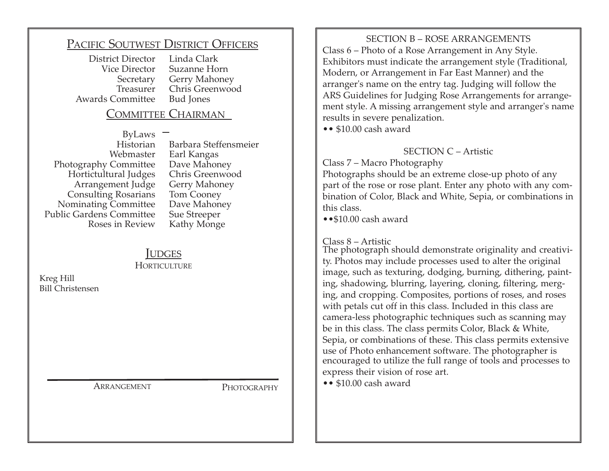# PACIFIC SOUTWEST DISTRICT OFFICERS

 District Director Linda Clark Awards Committee

Suzanne Horn Secretary Gerry Mahoney Treasurer Chris Greenwood

# COMMITTEE CHAIRMAN

 ByLaws Photography Committee Hortictultural Judges Chris Greenwood Arrangement Judge Consulting Rosarians Tom Cooney Nominating Committee Dave Mahoney<br>blic Gardens Committee Sue Streeper Public Gardens Committee<br>Roses in Review

 Historian Barbara Steffensmeier Earl Kangas<br>Dave Mahoney Kathy Monge

# **IUDGES**

**HORTICULTURE** 

Kreg Hill Bill Christensen

ARRANGEMENT PHOTOGRAPHY

SECTION B – ROSE ARRANGEMENTS Class 6 – Photo of a Rose Arrangement in Any Style. Exhibitors must indicate the arrangement style (Traditional, Modern, or Arrangement in Far East Manner) and the arranger's name on the entry tag. Judging will follow the ARS Guidelines for Judging Rose Arrangements for arrangement style. A missing arrangement style and arranger's name results in severe penalization.

•• \$10.00 cash award

#### SECTION C – Artistic

Class 7 – Macro Photography

Photographs should be an extreme close-up photo of any part of the rose or rose plant. Enter any photo with any combination of Color, Black and White, Sepia, or combinations in this class.

••\$10.00 cash award

Class 8 – Artistic

The photograph should demonstrate originality and creativity. Photos may include processes used to alter the original image, such as texturing, dodging, burning, dithering, painting, shadowing, blurring, layering, cloning, filtering, merging, and cropping. Composites, portions of roses, and roses with petals cut off in this class. Included in this class are camera-less photographic techniques such as scanning may be in this class. The class permits Color, Black & White, Sepia, or combinations of these. This class permits extensive use of Photo enhancement software. The photographer is encouraged to utilize the full range of tools and processes to express their vision of rose art.

•• \$10.00 cash award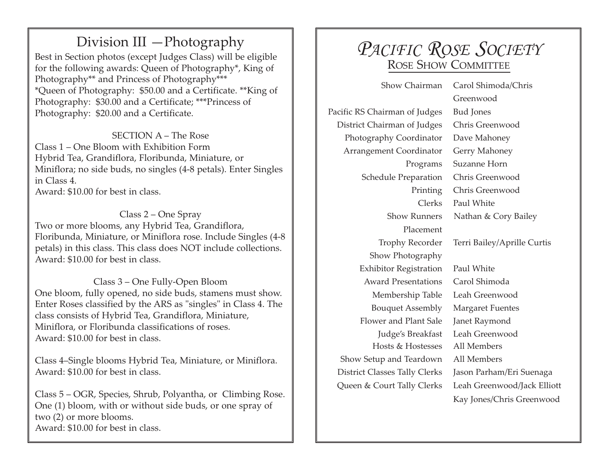# Division III —Photography

Best in Section photos (except Judges Class) will be eligible for the following awards: Queen of Photography\*, King of Photography\*\* and Princess of Photography\*\*\* \*Queen of Photography: \$50.00 and a Certificate. \*\*King of Photography: \$30.00 and a Certificate; \*\*\*Princess of Photography: \$20.00 and a Certificate.

SECTION A – The Rose Class 1 – One Bloom with Exhibition Form Hybrid Tea, Grandiflora, Floribunda, Miniature, or Miniflora; no side buds, no singles (4-8 petals). Enter Singles in Class 4. Award: \$10.00 for best in class.

Class 2 – One Spray Two or more blooms, any Hybrid Tea, Grandiflora, Floribunda, Miniature, or Miniflora rose. Include Singles (4-8 petals) in this class. This class does NOT include collections. Award: \$10.00 for best in class.

Class 3 – One Fully-Open Bloom One bloom, fully opened, no side buds, stamens must show. Enter Roses classified by the ARS as "singles" in Class 4. The class consists of Hybrid Tea, Grandiflora, Miniature, Miniflora, or Floribunda classifications of roses. Award: \$10.00 for best in class.

Class 4–Single blooms Hybrid Tea, Miniature, or Miniflora. Award: \$10.00 for best in class.

Class 5 – OGR, Species, Shrub, Polyantha, or Climbing Rose. One (1) bloom, with or without side buds, or one spray of two (2) or more blooms. Award: \$10.00 for best in class.

# *PACIFIC ROSE SOCIETY*  ROSE SHOW COMMITTEE

Pacific RS Chairman of Judges Bud Jones District Chairman of Judges Chris Greenwood Photography Coordinator Dave Mahoney Arrangement Coordinator Gerry Mahoney Schedule Preparation Chris Greenwood Placement Show Photography Exhibitor Registration Paul White Award Presentations Carol Shimoda Membership Table Leah Greenwood Bouquet Assembly Margaret Fuentes Flower and Plant Sale Janet Raymond Judge's Breakfast Leah Greenwood Hosts & Hostesses All Members<br>tup and Teardown All Members Show Setup and Teardown District Classes Tally Clerks Jason Parham/Eri Suenaga Queen & Court Tally Clerks Leah Greenwood/Jack Elliott

 Show Chairman Carol Shimoda/Chris Greenwood Programs Suzanne Horn Printing Chris Greenwood Clerks Paul White Show Runners Nathan & Cory Bailey Trophy Recorder Terri Bailey/Aprille Curtis Kay Jones/Chris Greenwood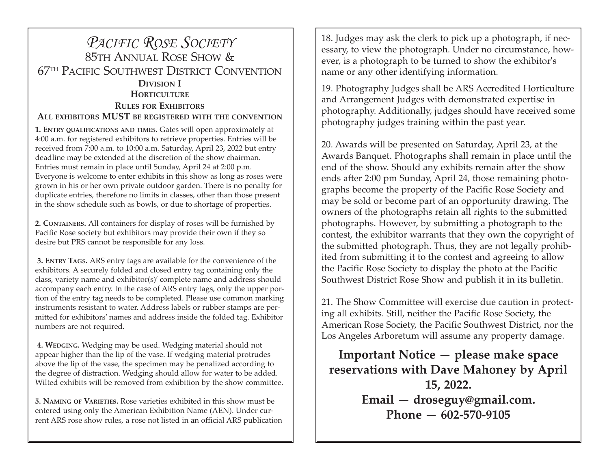# *PACIFIC ROSE SOCIETY*  85TH ANNUAL ROSE SHOW & 67TH PACIFIC SOUTHWEST DISTRICT CONVENTION **DIVISION I HORTICULTURE RULES FOR EXHIBITORS ALL EXHIBITORS MUST BE REGISTERED WITH THE CONVENTION**

**1. ENTRY QUALIFICATIONS AND TIMES.** Gates will open approximately at 4:00 a.m. for registered exhibitors to retrieve properties. Entries will be received from 7:00 a.m. to 10:00 a.m. Saturday, April 23, 2022 but entry deadline may be extended at the discretion of the show chairman. Entries must remain in place until Sunday, April 24 at 2:00 p.m. Everyone is welcome to enter exhibits in this show as long as roses were grown in his or her own private outdoor garden. There is no penalty for duplicate entries, therefore no limits in classes, other than those present in the show schedule such as bowls, or due to shortage of properties.

**2. CONTAINERS.** All containers for display of roses will be furnished by Pacific Rose society but exhibitors may provide their own if they so desire but PRS cannot be responsible for any loss.

 **3. ENTRY TAGS.** ARS entry tags are available for the convenience of the exhibitors. A securely folded and closed entry tag containing only the class, variety name and exhibitor(s)' complete name and address should accompany each entry. In the case of ARS entry tags, only the upper portion of the entry tag needs to be completed. Please use common marking instruments resistant to water. Address labels or rubber stamps are permitted for exhibitors' names and address inside the folded tag. Exhibitor numbers are not required.

 **4. WEDGING.** Wedging may be used. Wedging material should not appear higher than the lip of the vase. If wedging material protrudes above the lip of the vase, the specimen may be penalized according to the degree of distraction. Wedging should allow for water to be added. Wilted exhibits will be removed from exhibition by the show committee.

**5. NAMING OF VARIETIES.** Rose varieties exhibited in this show must be entered using only the American Exhibition Name (AEN). Under current ARS rose show rules, a rose not listed in an official ARS publication

18. Judges may ask the clerk to pick up a photograph, if necessary, to view the photograph. Under no circumstance, however, is a photograph to be turned to show the exhibitor's name or any other identifying information.

19. Photography Judges shall be ARS Accredited Horticulture and Arrangement Judges with demonstrated expertise in photography. Additionally, judges should have received some photography judges training within the past year.

20. Awards will be presented on Saturday, April 23, at the Awards Banquet. Photographs shall remain in place until the end of the show. Should any exhibits remain after the show ends after 2:00 pm Sunday, April 24, those remaining photographs become the property of the Pacific Rose Society and may be sold or become part of an opportunity drawing. The owners of the photographs retain all rights to the submitted photographs. However, by submitting a photograph to the contest, the exhibitor warrants that they own the copyright of the submitted photograph. Thus, they are not legally prohibited from submitting it to the contest and agreeing to allow the Pacific Rose Society to display the photo at the Pacific Southwest District Rose Show and publish it in its bulletin.

21. The Show Committee will exercise due caution in protecting all exhibits. Still, neither the Pacific Rose Society, the American Rose Society, the Pacific Southwest District, nor the Los Angeles Arboretum will assume any property damage.

**Important Notice — please make space reservations with Dave Mahoney by April 15, 2022. Email — droseguy@gmail.com. Phone — 602-570-9105**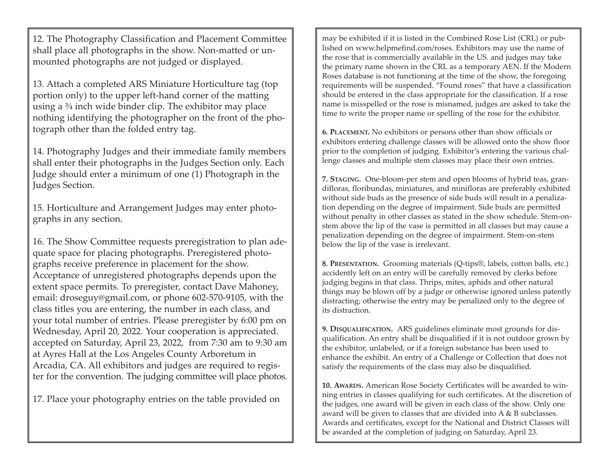12. The Photography Classification and Placement Committee shall place all photographs in the show. Non-matted or unmounted photographs are not judged or displayed.

13. Attach a completed ARS Miniature Horticulture tag (top portion only) to the upper left-hand corner of the matting using a ¾ inch wide binder clip. The exhibitor may place nothing identifying the photographer on the front of the photograph other than the folded entry tag.

14. Photography Judges and their immediate family members shall enter their photographs in the Judges Section only. Each Judge should enter a minimum of one (1) Photograph in the Judges Section.

15. Horticulture and Arrangement Judges may enter photographs in any section.

16. The Show Committee requests preregistration to plan adequate space for placing photographs. Preregistered photographs receive preference in placement for the show. Acceptance of unregistered photographs depends upon the extent space permits. To preregister, contact Dave Mahoney, email: droseguy@gmail.com, or phone 602-570-9105, with the class titles you are entering, the number in each class, and your total number of entries. Please preregister by 6:00 pm on Wednesday, April 20, 2022. Your cooperation is appreciated. accepted on Saturday, April 23, 2022, from 7:30 am to 9:30 am at Ayres Hall at the Los Angeles County Arboretum in Arcadia, CA. All exhibitors and judges are required to register for the convention. The judging committee will place photos.

17. Place your photography entries on the table provided on

may be exhibited if it is listed in the Combined Rose List (CRL) or published on www.helpmefind.com/roses. Exhibitors may use the name of the rose that is commercially available in the US. and judges may take the primary name shown in the CRL as a temporary AEN. If the Modern Roses database is not functioning at the time of the show, the foregoing requirements will be suspended. "Found roses" that have a classification should be entered in the class appropriate for the classification. If a rose name is misspelled or the rose is misnamed, judges are asked to take the time to write the proper name or spelling of the rose for the exhibitor.

**6. PLACEMENT.** No exhibitors or persons other than show officials or exhibitors entering challenge classes will be allowed onto the show floor prior to the completion of judging. Exhibitor's entering the various challenge classes and multiple stem classes may place their own entries.

**7. STAGING.** One-bloom-per stem and open blooms of hybrid teas, grandifloras, floribundas, miniatures, and minifloras are preferably exhibited without side buds as the presence of side buds will result in a penalization depending on the degree of impairment. Side buds are permitted without penalty in other classes as stated in the show schedule. Stem-onstem above the lip of the vase is permitted in all classes but may cause a penalization depending on the degree of impairment. Stem-on-stem below the lip of the vase is irrelevant.

**8. PRESENTATION.** Grooming materials (Q-tips®, labels, cotton balls, etc.) accidently left on an entry will be carefully removed by clerks before judging begins in that class. Thrips, mites, aphids and other natural things may be blown off by a judge or otherwise ignored unless patently distracting; otherwise the entry may be penalized only to the degree of its distraction.

**9. DISQUALIFICATION.** ARS guidelines eliminate most grounds for disqualification. An entry shall be disqualified if it is not outdoor grown by the exhibitor, unlabeled, or if a foreign substance has been used to enhance the exhibit. An entry of a Challenge or Collection that does not satisfy the requirements of the class may also be disqualified.

**10. AWARDS.** American Rose Society Certificates will be awarded to winning entries in classes qualifying for such certificates. At the discretion of the judges, one award will be given in each class of the show. Only one award will be given to classes that are divided into A & B subclasses. Awards and certificates, except for the National and District Classes will be awarded at the completion of judging on Saturday, April 23.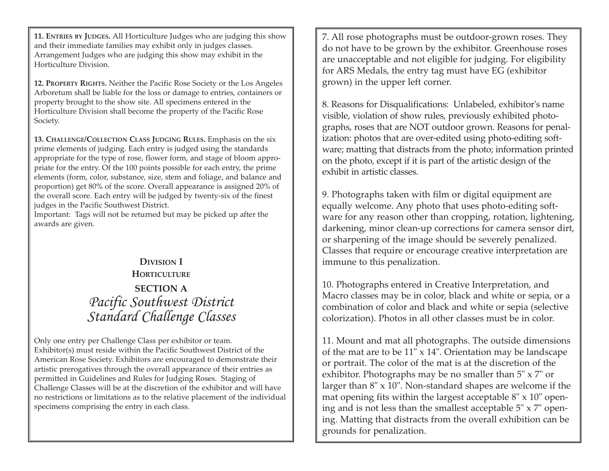**11. ENTRIES BY JUDGES.** All Horticulture Judges who are judging this show and their immediate families may exhibit only in judges classes. Arrangement Judges who are judging this show may exhibit in the Horticulture Division.

**12. PROPERTY RIGHTS.** Neither the Pacific Rose Society or the Los Angeles Arboretum shall be liable for the loss or damage to entries, containers or property brought to the show site. All specimens entered in the Horticulture Division shall become the property of the Pacific Rose Society.

**13. CHALLENGE/COLLECTION CLASS JUDGING RULES.** Emphasis on the six prime elements of judging. Each entry is judged using the standards appropriate for the type of rose, flower form, and stage of bloom appropriate for the entry. Of the 100 points possible for each entry, the prime elements (form, color, substance, size, stem and foliage, and balance and proportion) get 80% of the score. Overall appearance is assigned 20% of the overall score. Each entry will be judged by twenty-six of the finest judges in the Pacific Southwest District.

Important: Tags will not be returned but may be picked up after the awards are given.

# **DIVISION I HORTICULTURE SECTION A**  *Pacific Southwest District Standard Challenge Classes*

Only one entry per Challenge Class per exhibitor or team. Exhibitor(s) must reside within the Pacific Southwest District of the American Rose Society. Exhibitors are encouraged to demonstrate their artistic prerogatives through the overall appearance of their entries as permitted in Guidelines and Rules for Judging Roses. Staging of Challenge Classes will be at the discretion of the exhibitor and will have no restrictions or limitations as to the relative placement of the individual specimens comprising the entry in each class.

7. All rose photographs must be outdoor-grown roses. They do not have to be grown by the exhibitor. Greenhouse roses are unacceptable and not eligible for judging. For eligibility for ARS Medals, the entry tag must have EG (exhibitor grown) in the upper left corner.

8. Reasons for Disqualifications: Unlabeled, exhibitor's name visible, violation of show rules, previously exhibited photographs, roses that are NOT outdoor grown. Reasons for penalization: photos that are over-edited using photo-editing software; matting that distracts from the photo; information printed on the photo, except if it is part of the artistic design of the exhibit in artistic classes.

9. Photographs taken with film or digital equipment are equally welcome. Any photo that uses photo-editing software for any reason other than cropping, rotation, lightening, darkening, minor clean-up corrections for camera sensor dirt, or sharpening of the image should be severely penalized. Classes that require or encourage creative interpretation are immune to this penalization.

10. Photographs entered in Creative Interpretation, and Macro classes may be in color, black and white or sepia, or a combination of color and black and white or sepia (selective colorization). Photos in all other classes must be in color.

11. Mount and mat all photographs. The outside dimensions of the mat are to be 11" x 14". Orientation may be landscape or portrait. The color of the mat is at the discretion of the exhibitor. Photographs may be no smaller than 5" x 7" or larger than 8" x 10". Non-standard shapes are welcome if the mat opening fits within the largest acceptable 8" x 10" opening and is not less than the smallest acceptable  $5" \times 7"$  opening. Matting that distracts from the overall exhibition can be grounds for penalization.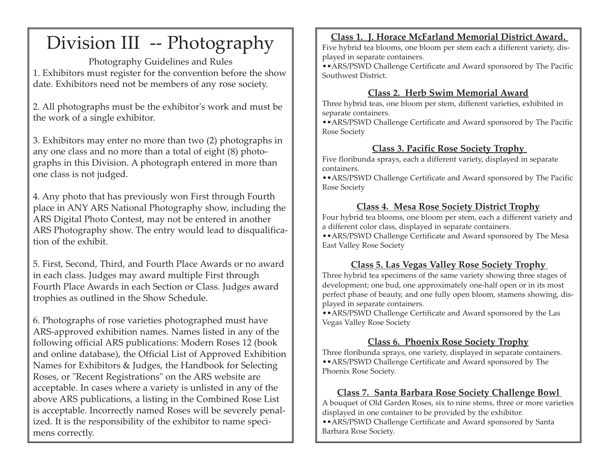# Division III -- Photography

Photography Guidelines and Rules 1. Exhibitors must register for the convention before the show date. Exhibitors need not be members of any rose society.

2. All photographs must be the exhibitor's work and must be the work of a single exhibitor.

3. Exhibitors may enter no more than two (2) photographs in any one class and no more than a total of eight (8) photographs in this Division. A photograph entered in more than one class is not judged.

4. Any photo that has previously won First through Fourth place in ANY ARS National Photography show, including the ARS Digital Photo Contest, may not be entered in another ARS Photography show. The entry would lead to disqualification of the exhibit.

5. First, Second, Third, and Fourth Place Awards or no award in each class. Judges may award multiple First through Fourth Place Awards in each Section or Class. Judges award trophies as outlined in the Show Schedule.

6. Photographs of rose varieties photographed must have ARS-approved exhibition names. Names listed in any of the following official ARS publications: Modern Roses 12 (book and online database), the Official List of Approved Exhibition Names for Exhibitors & Judges, the Handbook for Selecting Roses, or "Recent Registrations" on the ARS website are acceptable. In cases where a variety is unlisted in any of the above ARS publications, a listing in the Combined Rose List is acceptable. Incorrectly named Roses will be severely penalized. It is the responsibility of the exhibitor to name specimens correctly.

# **Class 1. J. Horace McFarland Memorial District Award.**

Five hybrid tea blooms, one bloom per stem each a different variety, displayed in separate containers.

••ARS/PSWD Challenge Certificate and Award sponsored by The Pacific Southwest District.

# **Class 2. Herb Swim Memorial Award**

Three hybrid teas, one bloom per stem, different varieties, exhibited in separate containers.

••ARS/PSWD Challenge Certificate and Award sponsored by The Pacific Rose Society

# **Class 3. Pacific Rose Society Trophy**

Five floribunda sprays, each a different variety, displayed in separate containers.

••ARS/PSWD Challenge Certificate and Award sponsored by The Pacific Rose Society

# **Class 4. Mesa Rose Society District Trophy**

Four hybrid tea blooms, one bloom per stem, each a different variety and a different color class, displayed in separate containers.

••ARS/PSWD Challenge Certificate and Award sponsored by The Mesa East Valley Rose Society

# **Class 5. Las Vegas Valley Rose Society Trophy**

Three hybrid tea specimens of the same variety showing three stages of development; one bud, one approximately one-half open or in its most perfect phase of beauty, and one fully open bloom, stamens showing, displayed in separate containers.

••ARS/PSWD Challenge Certificate and Award sponsored by the Las Vegas Valley Rose Society

# **Class 6. Phoenix Rose Society Trophy**

Three floribunda sprays, one variety, displayed in separate containers. ••ARS/PSWD Challenge Certificate and Award sponsored by The Phoenix Rose Society.

# **Class 7. Santa Barbara Rose Society Challenge Bowl**

A bouquet of Old Garden Roses, six to nine stems, three or more varieties displayed in one container to be provided by the exhibitor.

••ARS/PSWD Challenge Certificate and Award sponsored by Santa Barbara Rose Society.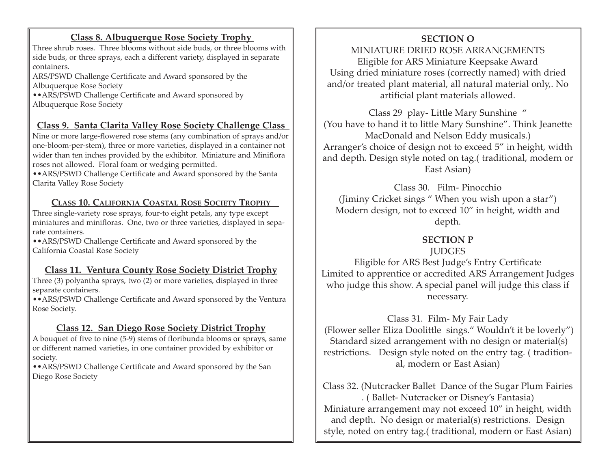# **Class 8. Albuquerque Rose Society Trophy**

Three shrub roses. Three blooms without side buds, or three blooms with side buds, or three sprays, each a different variety, displayed in separate containers.

ARS/PSWD Challenge Certificate and Award sponsored by the Albuquerque Rose Society

••ARS/PSWD Challenge Certificate and Award sponsored by Albuquerque Rose Society

# **Class 9. Santa Clarita Valley Rose Society Challenge Class**

Nine or more large-flowered rose stems (any combination of sprays and/or one-bloom-per-stem), three or more varieties, displayed in a container not wider than ten inches provided by the exhibitor. Miniature and Miniflora roses not allowed. Floral foam or wedging permitted.

••ARS/PSWD Challenge Certificate and Award sponsored by the Santa Clarita Valley Rose Society

# **CLASS 10. CALIFORNIA COASTAL ROSE SOCIETY TROPHY**

Three single-variety rose sprays, four-to eight petals, any type except miniatures and minifloras. One, two or three varieties, displayed in separate containers.

••ARS/PSWD Challenge Certificate and Award sponsored by the California Coastal Rose Society

# **Class 11. Ventura County Rose Society District Trophy**

Three (3) polyantha sprays, two (2) or more varieties, displayed in three separate containers.

••ARS/PSWD Challenge Certificate and Award sponsored by the Ventura Rose Society.

# **Class 12. San Diego Rose Society District Trophy**

A bouquet of five to nine (5-9) stems of floribunda blooms or sprays, same or different named varieties, in one container provided by exhibitor or society.

••ARS/PSWD Challenge Certificate and Award sponsored by the San Diego Rose Society

# **SECTION O**

MINIATURE DRIED ROSE ARRANGEMENTS Eligible for ARS Miniature Keepsake Award Using dried miniature roses (correctly named) with dried and/or treated plant material, all natural material only,. No artificial plant materials allowed.

Class 29 play- Little Mary Sunshine " (You have to hand it to little Mary Sunshine". Think Jeanette MacDonald and Nelson Eddy musicals.) Arranger's choice of design not to exceed 5" in height, width and depth. Design style noted on tag.( traditional, modern or East Asian)

Class 30. Film- Pinocchio (Jiminy Cricket sings " When you wish upon a star") Modern design, not to exceed 10" in height, width and depth.

# **SECTION P**

#### **JUDGES**

Eligible for ARS Best Judge's Entry Certificate Limited to apprentice or accredited ARS Arrangement Judges who judge this show. A special panel will judge this class if necessary.

Class 31. Film- My Fair Lady (Flower seller Eliza Doolittle sings." Wouldn't it be loverly") Standard sized arrangement with no design or material(s) restrictions. Design style noted on the entry tag. ( traditional, modern or East Asian)

Class 32. (Nutcracker Ballet Dance of the Sugar Plum Fairies . ( Ballet- Nutcracker or Disney's Fantasia) Miniature arrangement may not exceed 10" in height, width and depth. No design or material(s) restrictions. Design style, noted on entry tag.( traditional, modern or East Asian)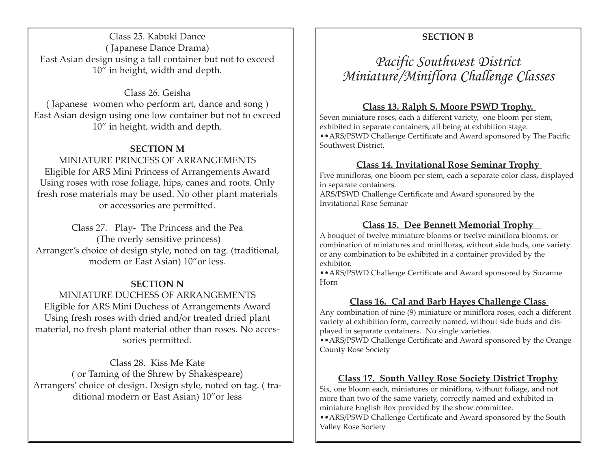Class 25. Kabuki Dance ( Japanese Dance Drama) East Asian design using a tall container but not to exceed 10" in height, width and depth.

Class 26. Geisha ( Japanese women who perform art, dance and song ) East Asian design using one low container but not to exceed 10" in height, width and depth.

#### **SECTION M**

MINIATURE PRINCESS OF ARRANGEMENTS Eligible for ARS Mini Princess of Arrangements Award Using roses with rose foliage, hips, canes and roots. Only fresh rose materials may be used. No other plant materials or accessories are permitted.

Class 27. Play- The Princess and the Pea (The overly sensitive princess) Arranger's choice of design style, noted on tag. (traditional, modern or East Asian) 10"or less.

#### **SECTION N**

MINIATURE DUCHESS OF ARRANGEMENTS Eligible for ARS Mini Duchess of Arrangements Award Using fresh roses with dried and/or treated dried plant material, no fresh plant material other than roses. No accessories permitted.

Class 28. Kiss Me Kate ( or Taming of the Shrew by Shakespeare) Arrangers' choice of design. Design style, noted on tag. ( traditional modern or East Asian) 10"or less

# **SECTION B**

*Pacific Southwest District Miniature/Miniflora Challenge Classes* 

#### **Class 13. Ralph S. Moore PSWD Trophy.**

Seven miniature roses, each a different variety, one bloom per stem, exhibited in separate containers, all being at exhibition stage. ••ARS/PSWD Challenge Certificate and Award sponsored by The Pacific Southwest District.

# **Class 14. Invitational Rose Seminar Trophy**

Five minifloras, one bloom per stem, each a separate color class, displayed in separate containers. ARS/PSWD Challenge Certificate and Award sponsored by the

Invitational Rose Seminar

#### **Class 15. Dee Bennett Memorial Trophy**

A bouquet of twelve miniature blooms or twelve miniflora blooms, or combination of miniatures and minifloras, without side buds, one variety or any combination to be exhibited in a container provided by the exhibitor.

••ARS/PSWD Challenge Certificate and Award sponsored by Suzanne Horn

#### **Class 16. Cal and Barb Hayes Challenge Class**

Any combination of nine (9) miniature or miniflora roses, each a different variety at exhibition form, correctly named, without side buds and displayed in separate containers. No single varieties.

••ARS/PSWD Challenge Certificate and Award sponsored by the Orange County Rose Society

#### **Class 17. South Valley Rose Society District Trophy**

Six, one bloom each, miniatures or miniflora, without foliage, and not more than two of the same variety, correctly named and exhibited in miniature English Box provided by the show committee.

••ARS/PSWD Challenge Certificate and Award sponsored by the South Valley Rose Society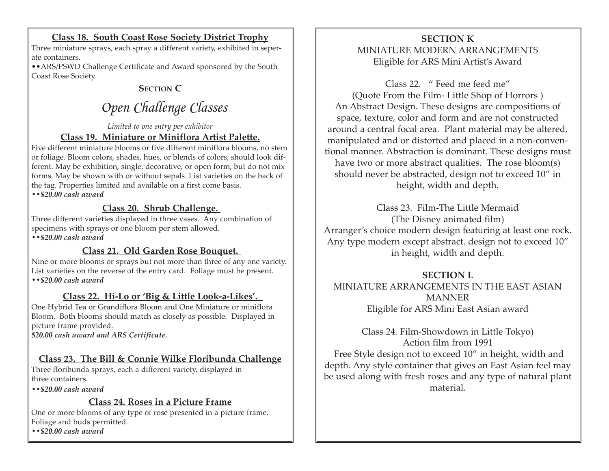# **Class 18. South Coast Rose Society District Trophy**

Three miniature sprays, each spray a different variety, exhibited in seperate containers.

••ARS/PSWD Challenge Certificate and Award sponsored by the South Coast Rose Society

# **SECTION C**

# *Open Challenge Classes*

#### *Limited to one entry per exhibitor* **Class 19. Miniature or Miniflora Artist Palette.**

Five different miniature blooms or five different miniflora blooms, no stem or foliage. Bloom colors, shades, hues, or blends of colors, should look different. May be exhibition, single, decorative, or open form, but do not mix forms. May be shown with or without sepals. List varieties on the back of the tag. Properties limited and available on a first come basis. *••\$20.00 cash award*

#### **Class 20. Shrub Challenge.**

Three different varieties displayed in three vases. Any combination of specimens with sprays or one bloom per stem allowed.

*••\$20.00 cash award* 

#### **Class 21. Old Garden Rose Bouquet.**

Nine or more blooms or sprays but not more than three of any one variety. List varieties on the reverse of the entry card. Foliage must be present. *••\$20.00 cash award* 

# **Class 22. Hi-Lo or 'Big & Little Look-a-Likes'.**

One Hybrid Tea or Grandiflora Bloom and One Miniature or miniflora Bloom. Both blooms should match as closely as possible. Displayed in picture frame provided.

*\$20.00 cash award and ARS Certificate.* 

#### **Class 23. The Bill & Connie Wilke Floribunda Challenge**

Three floribunda sprays, each a different variety, displayed in three containers.

*••\$20.00 cash award* 

#### **Class 24. Roses in a Picture Frame**

One or more blooms of any type of rose presented in a picture frame. Foliage and buds permitted.

*••\$20.00 cash award* 

### **SECTION K** MINIATURE MODERN ARRANGEMENTS Eligible for ARS Mini Artist's Award

Class 22. " Feed me feed me" (Quote From the Film- Little Shop of Horrors ) An Abstract Design. These designs are compositions of space, texture, color and form and are not constructed around a central focal area. Plant material may be altered, manipulated and or distorted and placed in a non-conventional manner. Abstraction is dominant. These designs must have two or more abstract qualities. The rose bloom(s) should never be abstracted, design not to exceed 10" in height, width and depth.

Class 23. Film-The Little Mermaid (The Disney animated film) Arranger's choice modern design featuring at least one rock. Any type modern except abstract. design not to exceed 10" in height, width and depth.

#### **SECTION L**

MINIATURE ARRANGEMENTS IN THE EAST ASIAN MANNER Eligible for ARS Mini East Asian award

Class 24. Film-Showdown in Little Tokyo) Action film from 1991 Free Style design not to exceed 10" in height, width and depth. Any style container that gives an East Asian feel may be used along with fresh roses and any type of natural plant material.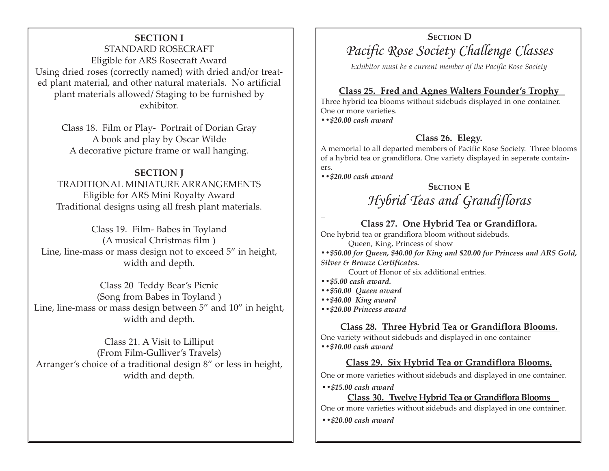#### **SECTION I**

STANDARD ROSECRAFT Eligible for ARS Rosecraft Award Using dried roses (correctly named) with dried and/or treated plant material, and other natural materials. No artificial plant materials allowed/ Staging to be furnished by exhibitor.

> Class 18. Film or Play- Portrait of Dorian Gray A book and play by Oscar Wilde A decorative picture frame or wall hanging.

#### **SECTION I**

TRADITIONAL MINIATURE ARRANGEMENTS Eligible for ARS Mini Royalty Award Traditional designs using all fresh plant materials.

Class 19. Film- Babes in Toyland (A musical Christmas film ) Line, line-mass or mass design not to exceed 5" in height, width and depth.

Class 20 Teddy Bear's Picnic (Song from Babes in Toyland ) Line, line-mass or mass design between 5" and 10" in height, width and depth.

Class 21. A Visit to Lilliput (From Film-Gulliver's Travels) Arranger's choice of a traditional design 8" or less in height, width and depth.

# **SECTION D** *Pacific Rose Society Challenge Classes*

*Exhibitor must be a current member of the Pacific Rose Society*

#### **Class 25. Fred and Agnes Walters Founder's Trophy**

Three hybrid tea blooms without sidebuds displayed in one container. One or more varieties. *••\$20.00 cash award* 

#### **Class 26. Elegy.**

A memorial to all departed members of Pacific Rose Society. Three blooms of a hybrid tea or grandiflora. One variety displayed in seperate containers.

*••\$20.00 cash award* 

# **SECTION E**  *Hybrid Teas and Grandifloras*

#### **Class 27. One Hybrid Tea or Grandiflora.**

One hybrid tea or grandiflora bloom without sidebuds. Queen, King, Princess of show *••\$50.00 for Queen, \$40.00 for King and \$20.00 for Princess and ARS Gold, Silver & Bronze Certificates.* 

Court of Honor of six additional entries.

*••\$5.00 cash award.* 

*••\$50.00 Queen award* 

*••\$40.00 King award* 

*••\$20.00 Princess award* 

#### **Class 28. Three Hybrid Tea or Grandiflora Blooms.**

One variety without sidebuds and displayed in one container *••\$10.00 cash award* 

#### **Class 29. Six Hybrid Tea or Grandiflora Blooms.**

One or more varieties without sidebuds and displayed in one container.

*••\$15.00 cash award* 

#### **Class 30. Twelve Hybrid Tea or Grandiflora Blooms**

One or more varieties without sidebuds and displayed in one container.

*••\$20.00 cash award*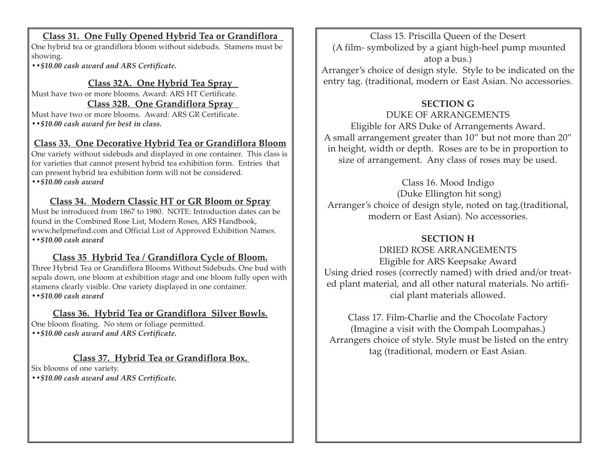### **Class 31. One Fully Opened Hybrid Tea or Grandiflora**

One hybrid tea or grandiflora bloom without sidebuds. Stamens must be showing.

*••\$10.00 cash award and ARS Certificate.*

# **Class 32A. One Hybrid Tea Spray**

Must have two or more blooms. Award: ARS HT Certificate.

# **Class 32B. One Grandiflora Spray**

Must have two or more blooms. Award: ARS GR Certificate. *••\$10.00 cash award for best in class.* 

# **Class 33. One Decorative Hybrid Tea or Grandiflora Bloom**

One variety without sidebuds and displayed in one container. This class is for varieties that cannot present hybrid tea exhibition form. Entries that can present hybrid tea exhibition form will not be considered. *••\$10.00 cash award* 

# **Class 34. Modern Classic HT or GR Bloom or Spray**

Must be introduced from 1867 to 1980. NOTE: Introduction dates can be found in the Combined Rose List, Modern Roses, ARS Handbook, www.helpmefind.com and Official List of Approved Exhibition Names. *••\$10.00 cash award* 

# **Class 35 Hybrid Tea / Grandiflora Cycle of Bloom.**

Three Hybrid Tea or Grandiflora Blooms Without Sidebuds. One bud with sepals down, one bloom at exhibition stage and one bloom fully open with stamens clearly visible. One variety displayed in one container. *••\$10.00 cash award* 

# **Class 36. Hybrid Tea or Grandiflora Silver Bowls.**

One bloom floating. No stem or foliage permitted. *••\$10.00 cash award and ARS Certificate.* 

# **Class 37. Hybrid Tea or Grandiflora Box.**

Six blooms of one variety.

*••\$10.00 cash award and ARS Certificate.*

Class 15. Priscilla Queen of the Desert (A film- symbolized by a giant high-heel pump mounted atop a bus.)

Arranger's choice of design style. Style to be indicated on the entry tag. (traditional, modern or East Asian. No accessories.

# **SECTION G**

# DUKE OF ARRANGEMENTS

Eligible for ARS Duke of Arrangements Award. A small arrangement greater than 10" but not more than 20" in height, width or depth. Roses are to be in proportion to size of arrangement. Any class of roses may be used.

Class 16. Mood Indigo (Duke Ellington hit song) Arranger's choice of design style, noted on tag.(traditional, modern or East Asian). No accessories.

# **SECTION H**

DRIED ROSE ARRANGEMENTS Eligible for ARS Keepsake Award Using dried roses (correctly named) with dried and/or treated plant material, and all other natural materials. No artificial plant materials allowed.

Class 17. Film-Charlie and the Chocolate Factory (Imagine a visit with the Oompah Loompahas.) Arrangers choice of style. Style must be listed on the entry tag (traditional, modern or East Asian.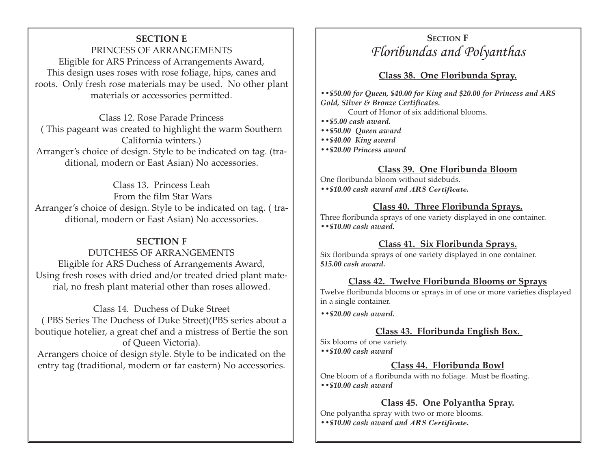#### **SECTION E**

PRINCESS OF ARRANGEMENTS Eligible for ARS Princess of Arrangements Award, This design uses roses with rose foliage, hips, canes and roots. Only fresh rose materials may be used. No other plant materials or accessories permitted.

Class 12. Rose Parade Princess ( This pageant was created to highlight the warm Southern California winters.) Arranger's choice of design. Style to be indicated on tag. (traditional, modern or East Asian) No accessories.

Class 13. Princess Leah From the film Star Wars Arranger's choice of design. Style to be indicated on tag. ( traditional, modern or East Asian) No accessories.

#### **SECTION F**

DUTCHESS OF ARRANGEMENTS Eligible for ARS Duchess of Arrangements Award, Using fresh roses with dried and/or treated dried plant material, no fresh plant material other than roses allowed.

Class 14. Duchess of Duke Street ( PBS Series The Duchess of Duke Street)(PBS series about a boutique hotelier, a great chef and a mistress of Bertie the son of Queen Victoria). Arrangers choice of design style. Style to be indicated on the

entry tag (traditional, modern or far eastern) No accessories.

# **SECTION F** *Floribundas and Polyanthas*

#### **Class 38. One Floribunda Spray.**

*••\$50.00 for Queen, \$40.00 for King and \$20.00 for Princess and ARS Gold, Silver & Bronze Certificates.* 

Court of Honor of six additional blooms.

- *••\$5.00 cash award.*
- *••\$50.00 Queen award*
- *••\$40.00 King award*
- *••\$20.00 Princess award*

#### **Class 39. One Floribunda Bloom**

One floribunda bloom without sidebuds. *••\$10.00 cash award and ARS Certificate.* 

#### **Class 40. Three Floribunda Sprays.**

Three floribunda sprays of one variety displayed in one container. *••\$10.00 cash award.* 

#### **Class 41. Six Floribunda Sprays.**

Six floribunda sprays of one variety displayed in one container. *\$15.00 cash award.* 

#### **Class 42. Twelve Floribunda Blooms or Sprays**

Twelve floribunda blooms or sprays in of one or more varieties displayed in a single container.

*••\$20.00 cash award.* 

#### **Class 43. Floribunda English Box.**

Six blooms of one variety. *••\$10.00 cash award* 

#### **Class 44. Floribunda Bowl**

One bloom of a floribunda with no foliage. Must be floating. *••\$10.00 cash award* 

#### **Class 45. One Polyantha Spray.**

One polyantha spray with two or more blooms. *••\$10.00 cash award and ARS Certificate.*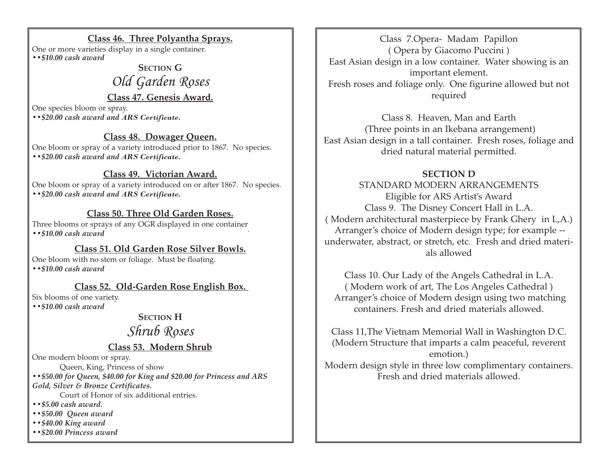#### **Class 46. Three Polyantha Sprays.**

One or more varieties display in a single container. *••\$10.00 cash award* 

# **SECTION G** *Old Garden Roses*

#### **Class 47. Genesis Award.**

One species bloom or spray. *••\$20.00 cash award and ARS Certificate.* 

#### **Class 48. Dowager Queen.**

One bloom or spray of a variety introduced prior to 1867. No species. *••\$20.00 cash award and ARS Certificate.* 

#### **Class 49. Victorian Award.**

One bloom or spray of a variety introduced on or after 1867. No species. *••\$20.00 cash award and ARS Certificate.* 

#### **Class 50. Three Old Garden Roses.**

Three blooms or sprays of any OGR displayed in one container.<br>**••**\$10.00 cash award

#### **Class 51. Old Garden Rose Silver Bowls.**

One bloom with no stem or foliage. Must be floating. *••\$10.00 cash award* 

#### **Class 52. Old-Garden Rose English Box.**

Six blooms of one variety.

*••\$10.00 cash award* 

**SECTION H** 

# *Shrub Roses*

**Class 53. Modern Shrub**

One modern bloom or spray.

Queen, King, Princess of show *••\$50.00 for Queen, \$40.00 for King and \$20.00 for Princess and ARS Gold, Silver & Bronze Certificates.* 

Court of Honor of six additional entries.

- *••\$5.00 cash award.*
- *••\$50.00 Queen award*
- *••\$40.00 King award*
- *••\$20.00 Princess award*

Class 7.Opera- Madam Papillon ( Opera by Giacomo Puccini ) East Asian design in a low container. Water showing is an important element. Fresh roses and foliage only. One figurine allowed but not required

Class 8. Heaven, Man and Earth (Three points in an Ikebana arrangement) East Asian design in a tall container. Fresh roses, foliage and dried natural material permitted.

### **SECTION D**

STANDARD MODERN ARRANGEMENTS Eligible for ARS Artist's Award Class 9. The Disney Concert Hall in L.A. ( Modern architectural masterpiece by Frank Ghery in L,A.) Arranger's choice of Modern design type; for example - underwater, abstract, or stretch, etc. Fresh and dried materials allowed

Class 10. Our Lady of the Angels Cathedral in L.A. ( Modern work of art, The Los Angeles Cathedral ) Arranger's choice of Modern design using two matching containers. Fresh and dried materials allowed.

Class 11,The Vietnam Memorial Wall in Washington D.C. (Modern Structure that imparts a calm peaceful, reverent emotion.) Modern design style in three low complimentary containers. Fresh and dried materials allowed.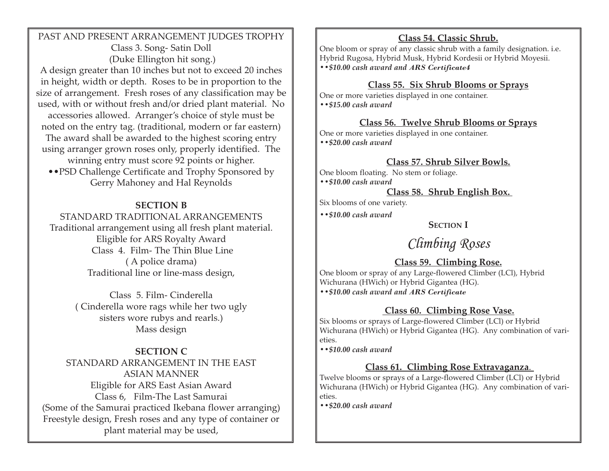PAST AND PRESENT ARRANGEMENT JUDGES TROPHY Class 3. Song- Satin Doll (Duke Ellington hit song.)

A design greater than 10 inches but not to exceed 20 inches in height, width or depth. Roses to be in proportion to the size of arrangement. Fresh roses of any classification may be used, with or without fresh and/or dried plant material. No accessories allowed. Arranger's choice of style must be noted on the entry tag. (traditional, modern or far eastern) The award shall be awarded to the highest scoring entry using arranger grown roses only, properly identified. The winning entry must score 92 points or higher. ••PSD Challenge Certificate and Trophy Sponsored by

Gerry Mahoney and Hal Reynolds

#### **SECTION B**

STANDARD TRADITIONAL ARRANGEMENTS Traditional arrangement using all fresh plant material. Eligible for ARS Royalty Award Class 4. Film- The Thin Blue Line ( A police drama) Traditional line or line-mass design,

> Class 5. Film- Cinderella ( Cinderella wore rags while her two ugly sisters wore rubys and rearls.) Mass design

# **SECTION C**

STANDARD ARRANGEMENT IN THE EAST ASIAN MANNER Eligible for ARS East Asian Award Class 6, Film-The Last Samurai (Some of the Samurai practiced Ikebana flower arranging) Freestyle design, Fresh roses and any type of container or plant material may be used,

# **Class 54. Classic Shrub.**

One bloom or spray of any classic shrub with a family designation. i.e. Hybrid Rugosa, Hybrid Musk, Hybrid Kordesii or Hybrid Moyesii. *••\$10.00 cash award and ARS Certificate4* 

#### **Class 55. Six Shrub Blooms or Sprays**

One or more varieties displayed in one container. *••\$15.00 cash award* 

#### **Class 56. Twelve Shrub Blooms or Sprays**

One or more varieties displayed in one container. *••\$20.00 cash award* 

#### **Class 57. Shrub Silver Bowls.**

One bloom floating. No stem or foliage. *••\$10.00 cash award* 

#### **Class 58. Shrub English Box.**

Six blooms of one variety.

*••\$10.00 cash award* 

#### **SECTION I**

# *Climbing Roses*

# **Class 59. Climbing Rose.**

One bloom or spray of any Large-flowered Climber (LCl), Hybrid Wichurana (HWich) or Hybrid Gigantea (HG). *••\$10.00 cash award and ARS Certificate*

# **Class 60. Climbing Rose Vase.**

Six blooms or sprays of Large-flowered Climber (LCl) or Hybrid Wichurana (HWich) or Hybrid Gigantea (HG). Any combination of varieties.

*••\$10.00 cash award* 

#### **Class 61. Climbing Rose Extravaganza**.

Twelve blooms or sprays of a Large-flowered Climber (LCl) or Hybrid Wichurana (HWich) or Hybrid Gigantea (HG). Any combination of varieties.

*••\$20.00 cash award*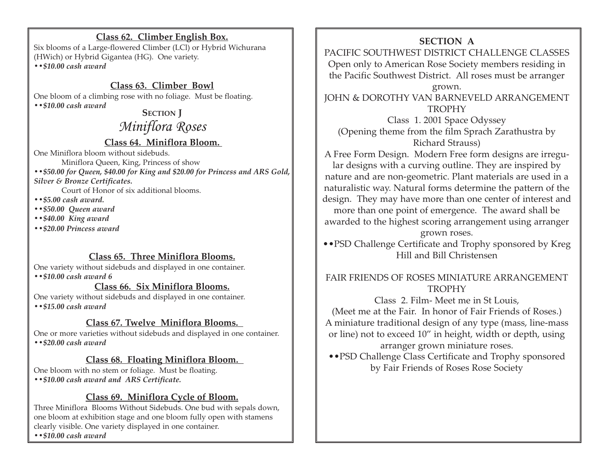#### **Class 62. Climber English Box.**

Six blooms of a Large-flowered Climber (LCl) or Hybrid Wichurana (HWich) or Hybrid Gigantea (HG). One variety. *••\$10.00 cash award* 

# **Class 63. Climber Bowl**

One bloom of a climbing rose with no foliage. Must be floating. *••\$10.00 cash award* 

# **SECTION J** *Miniflora Roses*

# **Class 64. Miniflora Bloom.**

One Miniflora bloom without sidebuds.

Miniflora Queen, King, Princess of show

*••\$50.00 for Queen, \$40.00 for King and \$20.00 for Princess and ARS Gold, Silver & Bronze Certificates.* 

Court of Honor of six additional blooms.

*••\$5.00 cash award.* 

*••\$50.00 Queen award* 

*••\$40.00 King award* 

*••\$20.00 Princess award* 

# **Class 65. Three Miniflora Blooms.**

One variety without sidebuds and displayed in one container. *••\$10.00 cash award 6*

#### **Class 66. Six Miniflora Blooms.**

One variety without sidebuds and displayed in one container. *••\$15.00 cash award* 

# **Class 67. Twelve Miniflora Blooms.**

One or more varieties without sidebuds and displayed in one container.

*••\$20.00 cash award* 

# **Class 68. Floating Miniflora Bloom.**

One bloom with no stem or foliage. Must be floating. *••\$10.00 cash award and ARS Certificate.* 

#### **Class 69. Miniflora Cycle of Bloom.**

Three Miniflora Blooms Without Sidebuds. One bud with sepals down, one bloom at exhibition stage and one bloom fully open with stamens clearly visible. One variety displayed in one container.

**SECTION A** PACIFIC SOUTHWEST DISTRICT CHALLENGE CLASSES Open only to American Rose Society members residing in the Pacific Southwest District. All roses must be arranger grown. JOHN & DOROTHY VAN BARNEVELD ARRANGEMENT **TROPHY** Class 1. 2001 Space Odyssey (Opening theme from the film Sprach Zarathustra by Richard Strauss) A Free Form Design. Modern Free form designs are irregular designs with a curving outline. They are inspired by nature and are non-geometric. Plant materials are used in a naturalistic way. Natural forms determine the pattern of the design. They may have more than one center of interest and more than one point of emergence. The award shall be awarded to the highest scoring arrangement using arranger grown roses.

••PSD Challenge Certificate and Trophy sponsored by Kreg Hill and Bill Christensen

### FAIR FRIENDS OF ROSES MINIATURE ARRANGEMENT **TROPHY**

Class 2. Film- Meet me in St Louis, (Meet me at the Fair. In honor of Fair Friends of Roses.) A miniature traditional design of any type (mass, line-mass or line) not to exceed 10" in height, width or depth, using arranger grown miniature roses.

••PSD Challenge Class Certificate and Trophy sponsored by Fair Friends of Roses Rose Society

*••\$10.00 cash award*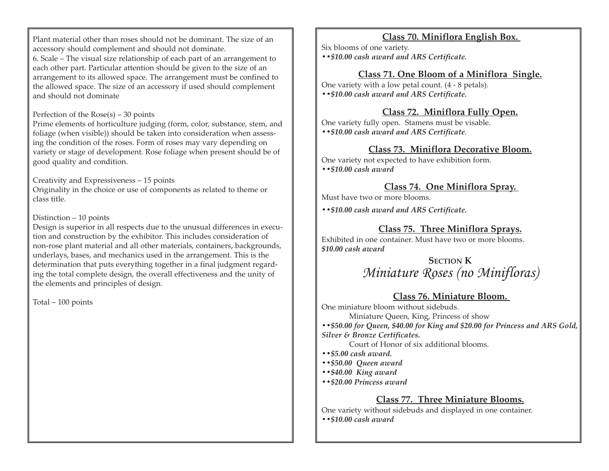Plant material other than roses should not be dominant. The size of an accessory should complement and should not dominate. 6. Scale – The visual size relationship of each part of an arrangement to each other part. Particular attention should be given to the size of an arrangement to its allowed space. The arrangement must be confined to the allowed space. The size of an accessory if used should complement and should not dominate

#### Perfection of the Rose(s) – 30 points

Prime elements of horticulture judging (form, color, substance, stem, and foliage (when visible)) should be taken into consideration when assessing the condition of the roses. Form of roses may vary depending on variety or stage of development. Rose foliage when present should be of good quality and condition.

#### Creativity and Expressiveness – 15 points

Originality in the choice or use of components as related to theme or class title.

#### Distinction – 10 points

Design is superior in all respects due to the unusual differences in execution and construction by the exhibitor. This includes consideration of non-rose plant material and all other materials, containers, backgrounds, underlays, bases, and mechanics used in the arrangement. This is the determination that puts everything together in a final judgment regarding the total complete design, the overall effectiveness and the unity of the elements and principles of design.

Total – 100 points

# **Class 70. Miniflora English Box.**

Six blooms of one variety. *••\$10.00 cash award and ARS Certificate.* 

#### **Class 71. One Bloom of a Miniflora Single.**

One variety with a low petal count. (4 - 8 petals). *••\$10.00 cash award and ARS Certificate.* 

#### **Class 72. Miniflora Fully Open.**

One variety fully open. Stamens must be visable. *••\$10.00 cash award and ARS Certificate.* 

#### **Class 73. Miniflora Decorative Bloom.**

One variety not expected to have exhibition form. *••\$10.00 cash award* 

#### **Class 74. One Miniflora Spray.**

Must have two or more blooms.

*••\$10.00 cash award and ARS Certificate.* 

#### **Class 75. Three Miniflora Sprays.**

Exhibited in one container. Must have two or more blooms. *\$10.00 cash award* 

# **SECTION K** *Miniature Roses (no Minifloras)*

#### **Class 76. Miniature Bloom.**

One miniature bloom without sidebuds.

Miniature Queen, King, Princess of show

*••\$50.00 for Queen, \$40.00 for King and \$20.00 for Princess and ARS Gold, Silver & Bronze Certificates.* 

Court of Honor of six additional blooms.

- *••\$5.00 cash award.*
- *••\$50.00 Queen award*
- *••\$40.00 King award*
- *••\$20.00 Princess award*

#### **Class 77. Three Miniature Blooms.**

One variety without sidebuds and displayed in one container. *••\$10.00 cash award*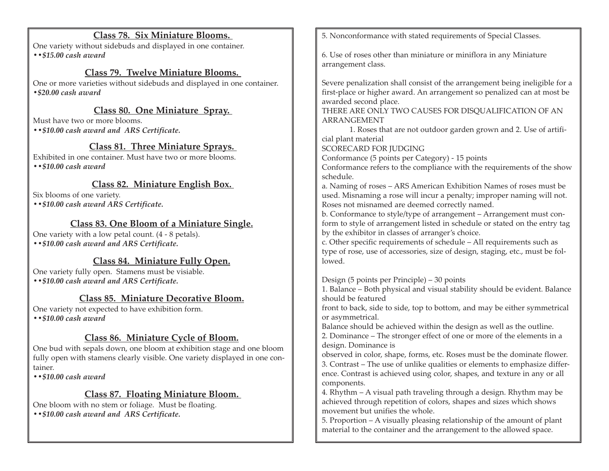#### **Class 78. Six Miniature Blooms.**

One variety without sidebuds and displayed in one container. *••\$15.00 cash award* 

#### **Class 79. Twelve Miniature Blooms.**

One or more varieties without sidebuds and displayed in one container. *•\$20.00 cash award* 

#### **Class 80. One Miniature Spray.**

Must have two or more blooms.

*••\$10.00 cash award and ARS Certificate.* 

#### **Class 81. Three Miniature Sprays.**

Exhibited in one container. Must have two or more blooms. *••\$10.00 cash award* 

### **Class 82. Miniature English Box.**

Six blooms of one variety. *••\$10.00 cash award ARS Certificate.* 

# **Class 83. One Bloom of a Miniature Single.**

One variety with a low petal count. (4 - 8 petals). *••\$10.00 cash award and ARS Certificate.* 

# **Class 84. Miniature Fully Open.**

One variety fully open. Stamens must be visiable. *••\$10.00 cash award and ARS Certificate.* 

#### **Class 85. Miniature Decorative Bloom.**

One variety not expected to have exhibition form. *••\$10.00 cash award* 

#### **Class 86. Miniature Cycle of Bloom.**

One bud with sepals down, one bloom at exhibition stage and one bloom fully open with stamens clearly visible. One variety displayed in one container.

*••\$10.00 cash award* 

#### **Class 87. Floating Miniature Bloom.**

One bloom with no stem or foliage. Must be floating. *••\$10.00 cash award and ARS Certificate.* 

5. Nonconformance with stated requirements of Special Classes.

6. Use of roses other than miniature or miniflora in any Miniature arrangement class.

Severe penalization shall consist of the arrangement being ineligible for a first-place or higher award. An arrangement so penalized can at most be awarded second place.

THERE ARE ONLY TWO CAUSES FOR DISQUALIFICATION OF AN ARRANGEMENT

1. Roses that are not outdoor garden grown and 2. Use of artifi-

cial plant material

SCORECARD FOR JUDGING

Conformance (5 points per Category) - 15 points

Conformance refers to the compliance with the requirements of the show schedule.

a. Naming of roses – ARS American Exhibition Names of roses must be used. Misnaming a rose will incur a penalty; improper naming will not. Roses not misnamed are deemed correctly named.

b. Conformance to style/type of arrangement – Arrangement must conform to style of arrangement listed in schedule or stated on the entry tag by the exhibitor in classes of arranger's choice.

c. Other specific requirements of schedule – All requirements such as type of rose, use of accessories, size of design, staging, etc., must be followed.

Design (5 points per Principle) – 30 points

1. Balance – Both physical and visual stability should be evident. Balance should be featured

front to back, side to side, top to bottom, and may be either symmetrical or asymmetrical.

Balance should be achieved within the design as well as the outline. 2. Dominance – The stronger effect of one or more of the elements in a design. Dominance is

observed in color, shape, forms, etc. Roses must be the dominate flower. 3. Contrast – The use of unlike qualities or elements to emphasize difference. Contrast is achieved using color, shapes, and texture in any or all components.

4. Rhythm – A visual path traveling through a design. Rhythm may be achieved through repetition of colors, shapes and sizes which shows movement but unifies the whole.

5. Proportion – A visually pleasing relationship of the amount of plant material to the container and the arrangement to the allowed space.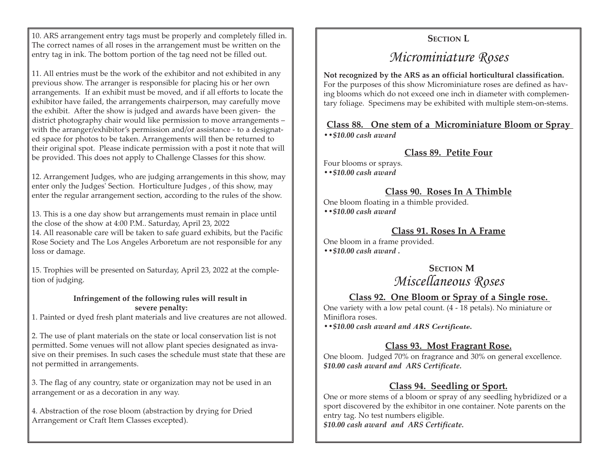10. ARS arrangement entry tags must be properly and completely filled in. The correct names of all roses in the arrangement must be written on the entry tag in ink. The bottom portion of the tag need not be filled out.

11. All entries must be the work of the exhibitor and not exhibited in any previous show. The arranger is responsible for placing his or her own arrangements. If an exhibit must be moved, and if all efforts to locate the exhibitor have failed, the arrangements chairperson, may carefully move the exhibit. After the show is judged and awards have been given- the district photography chair would like permission to move arrangements – with the arranger/exhibitor's permission and/or assistance - to a designated space for photos to be taken. Arrangements will then be returned to their original spot. Please indicate permission with a post it note that will be provided. This does not apply to Challenge Classes for this show.

12. Arrangement Judges, who are judging arrangements in this show, may enter only the Judges' Section. Horticulture Judges , of this show, may enter the regular arrangement section, according to the rules of the show.

13. This is a one day show but arrangements must remain in place until the close of the show at 4:00 P.M.. Saturday, April 23, 2022 14. All reasonable care will be taken to safe guard exhibits, but the Pacific Rose Society and The Los Angeles Arboretum are not responsible for any loss or damage.

15. Trophies will be presented on Saturday, April 23, 2022 at the completion of judging.

#### **Infringement of the following rules will result in severe penalty:**

1. Painted or dyed fresh plant materials and live creatures are not allowed.

2. The use of plant materials on the state or local conservation list is not permitted. Some venues will not allow plant species designated as invasive on their premises. In such cases the schedule must state that these are not permitted in arrangements.

3. The flag of any country, state or organization may not be used in an arrangement or as a decoration in any way.

4. Abstraction of the rose bloom (abstraction by drying for Dried Arrangement or Craft Item Classes excepted).

# **SECTION L**

# *Microminiature Roses*

**Not recognized by the ARS as an official horticultural classification.**  For the purposes of this show Microminiature roses are defined as having blooms which do not exceed one inch in diameter with complementary foliage. Specimens may be exhibited with multiple stem-on-stems.

#### **Class 88. One stem of a Microminiature Bloom or Spray**

*••\$10.00 cash award* 

#### **Class 89. Petite Four**

Four blooms or sprays. *••\$10.00 cash award* 

#### **Class 90. Roses In A Thimble**

One bloom floating in a thimble provided. *••\$10.00 cash award* 

#### **Class 91. Roses In A Frame**

One bloom in a frame provided. *••\$10.00 cash award .* 

> **SECTION M** *Miscellaneous Roses*

#### **Class 92. One Bloom or Spray of a Single rose.**

One variety with a low petal count. (4 - 18 petals). No miniature or Miniflora roses.

*••\$10.00 cash award and ARS Certificate.* 

#### **Class 93. Most Fragrant Rose.**

One bloom. Judged 70% on fragrance and 30% on general excellence. *\$10.00 cash award and ARS Certificate.* 

#### **Class 94. Seedling or Sport.**

One or more stems of a bloom or spray of any seedling hybridized or a sport discovered by the exhibitor in one container. Note parents on the entry tag. No test numbers eligible. *\$10.00 cash award and ARS Certificate.*